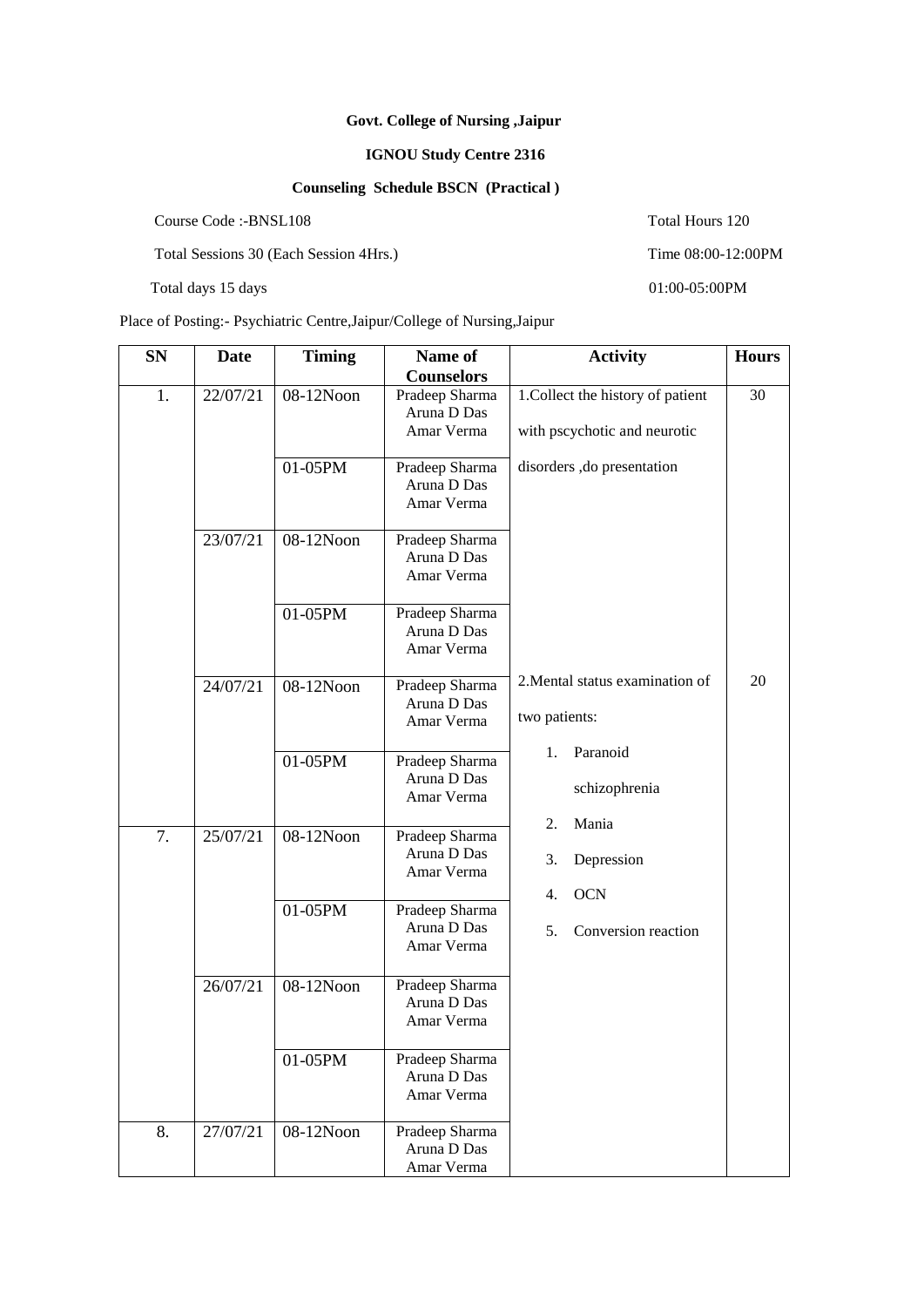## **Govt. College of Nursing ,Jaipur**

## **IGNOU Study Centre 2316**

## **Counseling Schedule BSCN (Practical )**

Course Code :-BNSL108 Total Hours 120

Total Sessions 30 (Each Session 4Hrs.) Time 08:00-12:00PM

Total days 15 days 01:00-05:00PM

Place of Posting:- Psychiatric Centre,Jaipur/College of Nursing,Jaipur

**SN Date Timing Name of Counselors Activity Hours**  1. 22/07/21 08-12Noon Pradeep Sharma Aruna D Das Amar Verma 1.Collect the history of patient with pscychotic and neurotic disorders ,do presentation 2.Mental status examination of two patients: 1. Paranoid schizophrenia 2. Mania 3. Depression 4. OCN 5. Conversion reaction 30 20 01-05PM Pradeep Sharma Aruna D Das Amar Verma 23/07/21 08-12Noon Pradeep Sharma Aruna D Das Amar Verma 01-05PM Pradeep Sharma Aruna D Das Amar Verma 24/07/21 08-12Noon Pradeep Sharma Aruna D Das Amar Verma 01-05PM Pradeep Sharma Aruna D Das Amar Verma 7. 25/07/21 08-12Noon Pradeep Sharma Aruna D Das Amar Verma 01-05PM Pradeep Sharma Aruna D Das Amar Verma 26/07/21 08-12Noon Pradeep Sharma Aruna D Das Amar Verma 01-05PM Pradeep Sharma Aruna D Das Amar Verma 8. 27/07/21 08-12Noon Pradeep Sharma Aruna D Das Amar Verma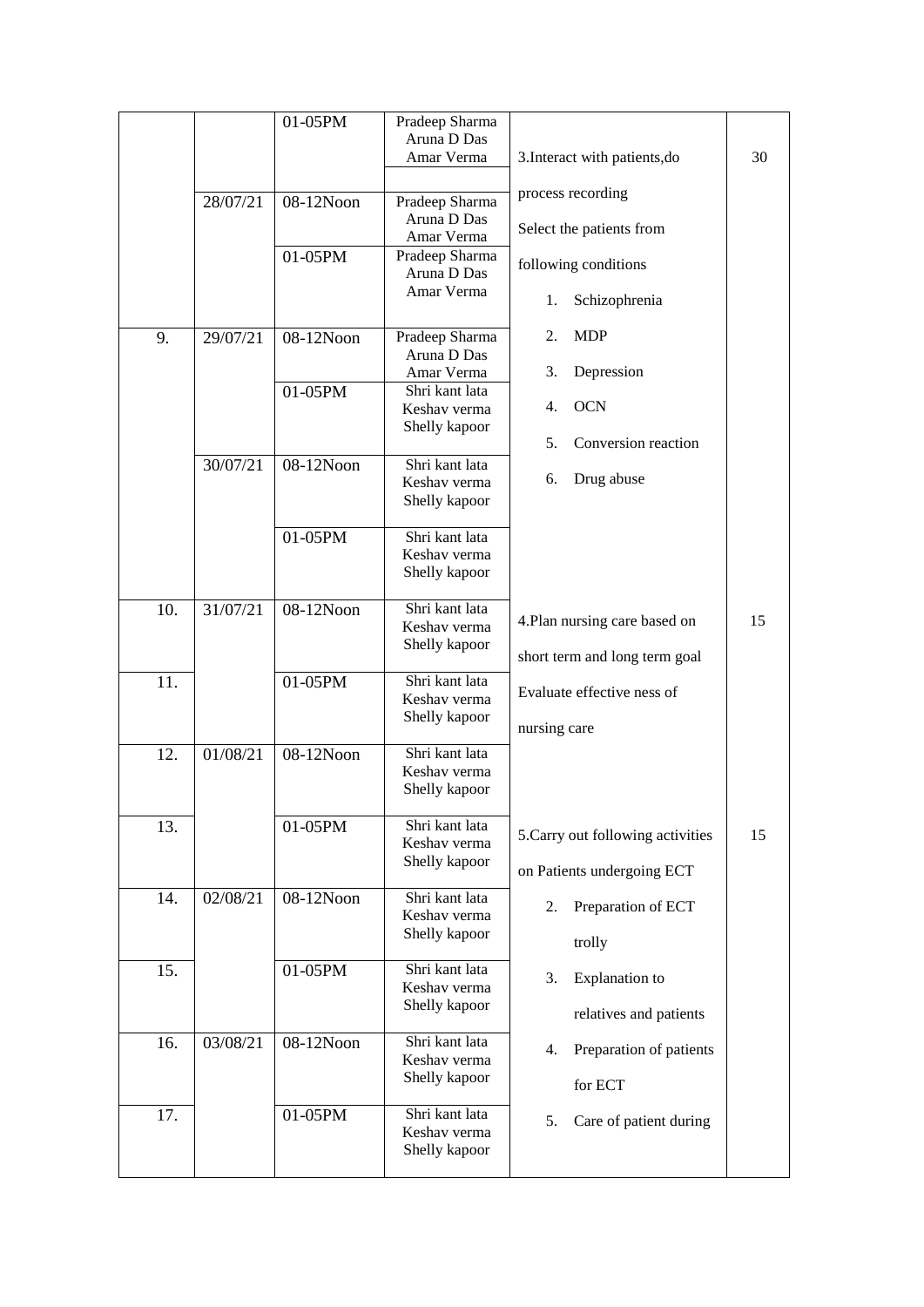|     |          | 01-05PM      | Pradeep Sharma |                                   |    |
|-----|----------|--------------|----------------|-----------------------------------|----|
|     |          |              | Aruna D Das    |                                   |    |
|     |          |              | Amar Verma     | 3. Interact with patients, do     | 30 |
|     |          |              |                |                                   |    |
|     | 28/07/21 | 08-12Noon    | Pradeep Sharma | process recording                 |    |
|     |          |              | Aruna D Das    |                                   |    |
|     |          |              | Amar Verma     | Select the patients from          |    |
|     |          | 01-05PM      | Pradeep Sharma |                                   |    |
|     |          |              | Aruna D Das    | following conditions              |    |
|     |          |              | Amar Verma     |                                   |    |
|     |          |              |                | Schizophrenia<br>1.               |    |
|     |          |              |                |                                   |    |
| 9.  | 29/07/21 | $08-12N$ oon | Pradeep Sharma | <b>MDP</b><br>2.                  |    |
|     |          |              | Aruna D Das    |                                   |    |
|     |          |              | Amar Verma     | Depression<br>3.                  |    |
|     |          | 01-05PM      | Shri kant lata |                                   |    |
|     |          |              | Keshav verma   | <b>OCN</b><br>4.                  |    |
|     |          |              | Shelly kapoor  |                                   |    |
|     |          |              |                | Conversion reaction<br>5.         |    |
|     | 30/07/21 | 08-12Noon    | Shri kant lata |                                   |    |
|     |          |              | Keshav verma   | Drug abuse<br>6.                  |    |
|     |          |              | Shelly kapoor  |                                   |    |
|     |          |              |                |                                   |    |
|     |          | 01-05PM      | Shri kant lata |                                   |    |
|     |          |              | Keshav verma   |                                   |    |
|     |          |              | Shelly kapoor  |                                   |    |
| 10. | 31/07/21 | 08-12Noon    | Shri kant lata |                                   |    |
|     |          |              | Keshav verma   | 4. Plan nursing care based on     | 15 |
|     |          |              | Shelly kapoor  |                                   |    |
|     |          |              |                | short term and long term goal     |    |
| 11. |          | 01-05PM      | Shri kant lata |                                   |    |
|     |          |              | Keshav verma   | Evaluate effective ness of        |    |
|     |          |              | Shelly kapoor  |                                   |    |
|     |          |              |                | nursing care                      |    |
| 12. | 01/08/21 | 08-12Noon    | Shri kant lata |                                   |    |
|     |          |              | Keshav verma   |                                   |    |
|     |          |              | Shelly kapoor  |                                   |    |
|     |          |              |                |                                   |    |
| 13. |          | 01-05PM      | Shri kant lata |                                   |    |
|     |          |              | Keshav verma   | 5. Carry out following activities | 15 |
|     |          |              | Shelly kapoor  | on Patients undergoing ECT        |    |
|     |          |              |                |                                   |    |
| 14. | 02/08/21 | 08-12Noon    | Shri kant lata | Preparation of ECT<br>2.          |    |
|     |          |              | Keshav verma   |                                   |    |
|     |          |              | Shelly kapoor  | trolly                            |    |
|     |          |              |                |                                   |    |
| 15. |          | 01-05PM      | Shri kant lata | <b>Explanation</b> to<br>3.       |    |
|     |          |              | Keshav verma   |                                   |    |
|     |          |              | Shelly kapoor  | relatives and patients            |    |
|     |          |              |                |                                   |    |
| 16. | 03/08/21 | 08-12Noon    | Shri kant lata | Preparation of patients<br>4.     |    |
|     |          |              | Keshav verma   |                                   |    |
|     |          |              | Shelly kapoor  | for ECT                           |    |
| 17. |          | 01-05PM      | Shri kant lata |                                   |    |
|     |          |              | Keshav verma   | 5.<br>Care of patient during      |    |
|     |          |              | Shelly kapoor  |                                   |    |
|     |          |              |                |                                   |    |
|     |          |              |                |                                   |    |